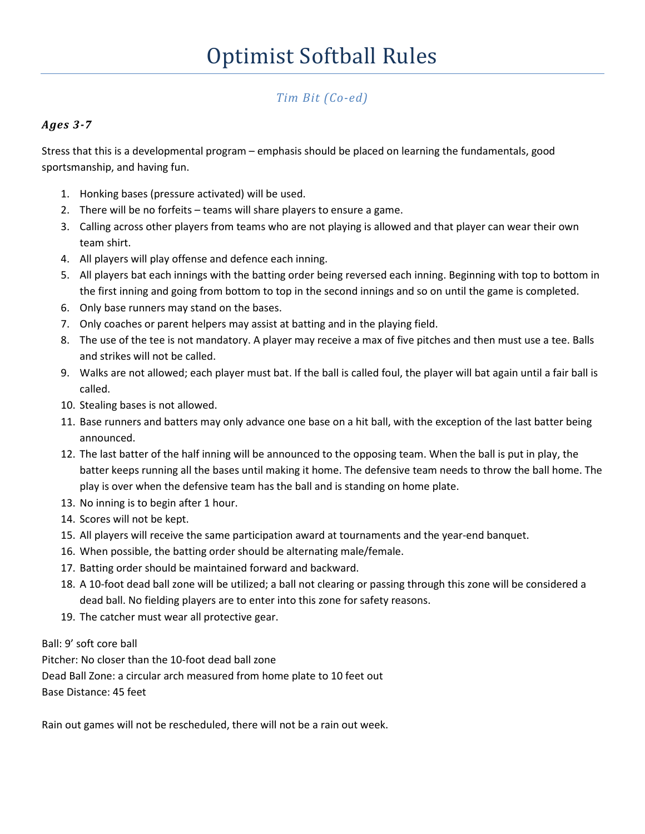# *Tim Bit (Co-ed)*

### *Ages 3-7*

Stress that this is a developmental program – emphasis should be placed on learning the fundamentals, good sportsmanship, and having fun.

- 1. Honking bases (pressure activated) will be used.
- 2. There will be no forfeits teams will share players to ensure a game.
- 3. Calling across other players from teams who are not playing is allowed and that player can wear their own team shirt.
- 4. All players will play offense and defence each inning.
- 5. All players bat each innings with the batting order being reversed each inning. Beginning with top to bottom in the first inning and going from bottom to top in the second innings and so on until the game is completed.
- 6. Only base runners may stand on the bases.
- 7. Only coaches or parent helpers may assist at batting and in the playing field.
- 8. The use of the tee is not mandatory. A player may receive a max of five pitches and then must use a tee. Balls and strikes will not be called.
- 9. Walks are not allowed; each player must bat. If the ball is called foul, the player will bat again until a fair ball is called.
- 10. Stealing bases is not allowed.
- 11. Base runners and batters may only advance one base on a hit ball, with the exception of the last batter being announced.
- 12. The last batter of the half inning will be announced to the opposing team. When the ball is put in play, the batter keeps running all the bases until making it home. The defensive team needs to throw the ball home. The play is over when the defensive team has the ball and is standing on home plate.
- 13. No inning is to begin after 1 hour.
- 14. Scores will not be kept.
- 15. All players will receive the same participation award at tournaments and the year-end banquet.
- 16. When possible, the batting order should be alternating male/female.
- 17. Batting order should be maintained forward and backward.
- 18. A 10-foot dead ball zone will be utilized; a ball not clearing or passing through this zone will be considered a dead ball. No fielding players are to enter into this zone for safety reasons.
- 19. The catcher must wear all protective gear.

Ball: 9' soft core ball

Pitcher: No closer than the 10-foot dead ball zone

Dead Ball Zone: a circular arch measured from home plate to 10 feet out

Base Distance: 45 feet

Rain out games will not be rescheduled, there will not be a rain out week.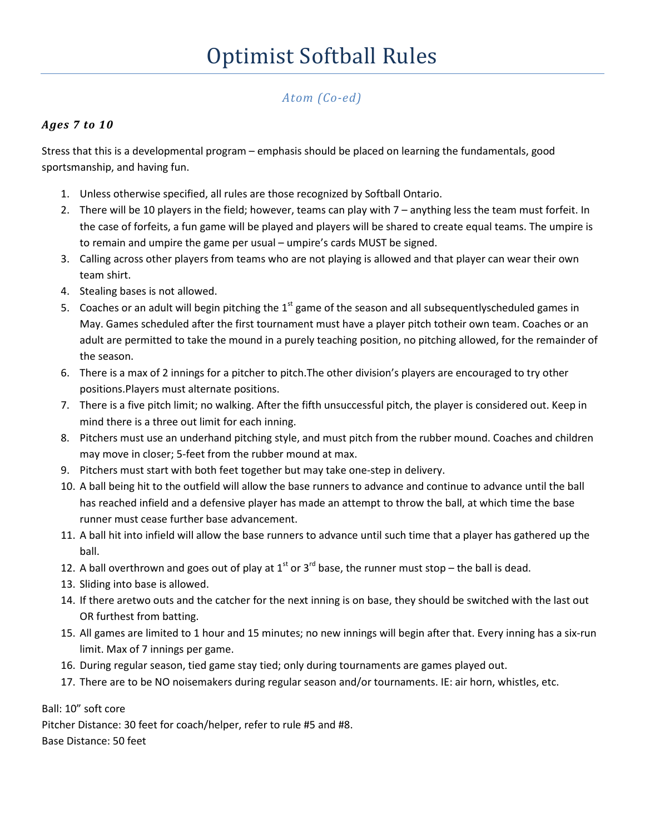# *Atom (Co-ed)*

### *Ages 7 to 10*

Stress that this is a developmental program – emphasis should be placed on learning the fundamentals, good sportsmanship, and having fun.

- 1. Unless otherwise specified, all rules are those recognized by Softball Ontario.
- 2. There will be 10 players in the field; however, teams can play with 7 anything less the team must forfeit. In the case of forfeits, a fun game will be played and players will be shared to create equal teams. The umpire is to remain and umpire the game per usual – umpire's cards MUST be signed.
- 3. Calling across other players from teams who are not playing is allowed and that player can wear their own team shirt.
- 4. Stealing bases is not allowed.
- 5. Coaches or an adult will begin pitching the  $1<sup>st</sup>$  game of the season and all subsequentlyscheduled games in May. Games scheduled after the first tournament must have a player pitch totheir own team. Coaches or an adult are permitted to take the mound in a purely teaching position, no pitching allowed, for the remainder of the season.
- 6. There is a max of 2 innings for a pitcher to pitch.The other division's players are encouraged to try other positions.Players must alternate positions.
- 7. There is a five pitch limit; no walking. After the fifth unsuccessful pitch, the player is considered out. Keep in mind there is a three out limit for each inning.
- 8. Pitchers must use an underhand pitching style, and must pitch from the rubber mound. Coaches and children may move in closer; 5-feet from the rubber mound at max.
- 9. Pitchers must start with both feet together but may take one-step in delivery.
- 10. A ball being hit to the outfield will allow the base runners to advance and continue to advance until the ball has reached infield and a defensive player has made an attempt to throw the ball, at which time the base runner must cease further base advancement.
- 11. A ball hit into infield will allow the base runners to advance until such time that a player has gathered up the ball.
- 12. A ball overthrown and goes out of play at  $1<sup>st</sup>$  or  $3<sup>rd</sup>$  base, the runner must stop the ball is dead.
- 13. Sliding into base is allowed.
- 14. If there aretwo outs and the catcher for the next inning is on base, they should be switched with the last out OR furthest from batting.
- 15. All games are limited to 1 hour and 15 minutes; no new innings will begin after that. Every inning has a six-run limit. Max of 7 innings per game.
- 16. During regular season, tied game stay tied; only during tournaments are games played out.
- 17. There are to be NO noisemakers during regular season and/or tournaments. IE: air horn, whistles, etc.

Ball: 10" soft core

Pitcher Distance: 30 feet for coach/helper, refer to rule #5 and #8. Base Distance: 50 feet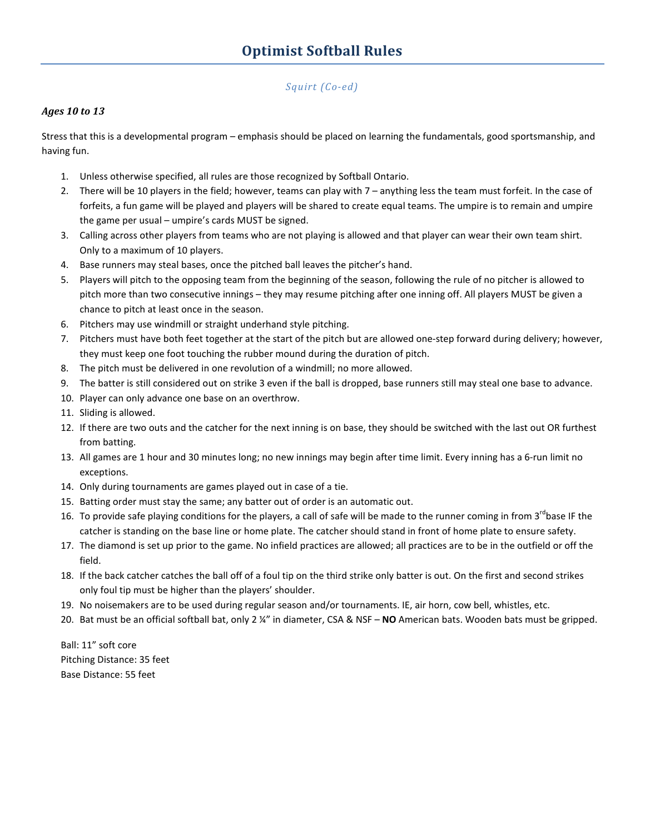#### *Squirt (Co-ed)*

#### *Ages 10 to 13*

Stress that this is a developmental program – emphasis should be placed on learning the fundamentals, good sportsmanship, and having fun.

- 1. Unless otherwise specified, all rules are those recognized by Softball Ontario.
- 2. There will be 10 players in the field; however, teams can play with 7 anything less the team must forfeit. In the case of forfeits, a fun game will be played and players will be shared to create equal teams. The umpire is to remain and umpire the game per usual – umpire's cards MUST be signed.
- 3. Calling across other players from teams who are not playing is allowed and that player can wear their own team shirt. Only to a maximum of 10 players.
- 4. Base runners may steal bases, once the pitched ball leaves the pitcher's hand.
- 5. Players will pitch to the opposing team from the beginning of the season, following the rule of no pitcher is allowed to pitch more than two consecutive innings – they may resume pitching after one inning off. All players MUST be given a chance to pitch at least once in the season.
- 6. Pitchers may use windmill or straight underhand style pitching.
- 7. Pitchers must have both feet together at the start of the pitch but are allowed one-step forward during delivery; however, they must keep one foot touching the rubber mound during the duration of pitch.
- 8. The pitch must be delivered in one revolution of a windmill; no more allowed.
- 9. The batter is still considered out on strike 3 even if the ball is dropped, base runners still may steal one base to advance.
- 10. Player can only advance one base on an overthrow.
- 11. Sliding is allowed.
- 12. If there are two outs and the catcher for the next inning is on base, they should be switched with the last out OR furthest from batting.
- 13. All games are 1 hour and 30 minutes long; no new innings may begin after time limit. Every inning has a 6-run limit no exceptions.
- 14. Only during tournaments are games played out in case of a tie.
- 15. Batting order must stay the same; any batter out of order is an automatic out.
- 16. To provide safe playing conditions for the players, a call of safe will be made to the runner coming in from 3<sup>rd</sup>base IF the catcher is standing on the base line or home plate. The catcher should stand in front of home plate to ensure safety.
- 17. The diamond is set up prior to the game. No infield practices are allowed; all practices are to be in the outfield or off the field.
- 18. If the back catcher catches the ball off of a foul tip on the third strike only batter is out. On the first and second strikes only foul tip must be higher than the players' shoulder.
- 19. No noisemakers are to be used during regular season and/or tournaments. IE, air horn, cow bell, whistles, etc.
- 20. Bat must be an official softball bat, only 2 ¼" in diameter, CSA & NSF **NO** American bats. Wooden bats must be gripped.

Ball: 11" soft core Pitching Distance: 35 feet Base Distance: 55 feet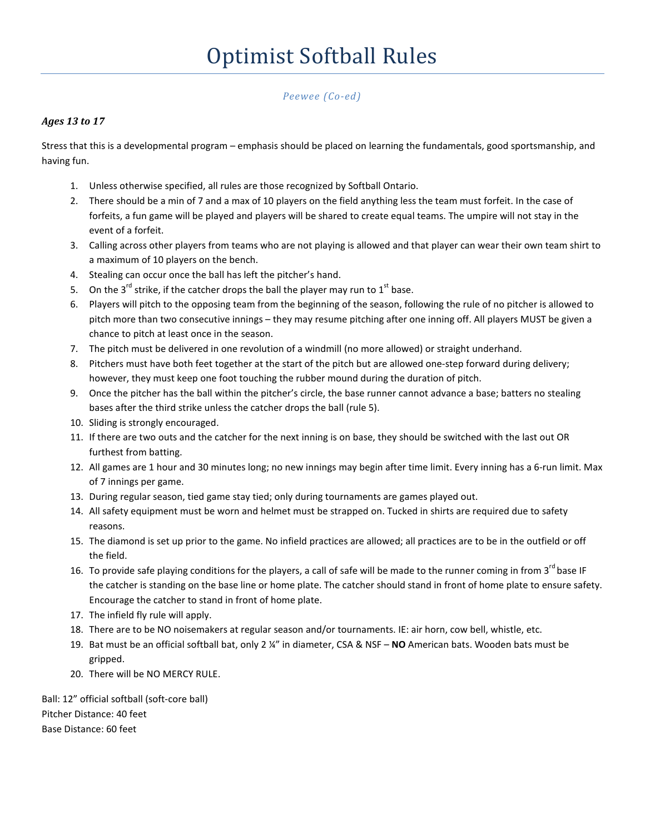*Peewee (Co-ed)* 

#### *Ages 13 to 17*

Stress that this is a developmental program – emphasis should be placed on learning the fundamentals, good sportsmanship, and having fun.

- 1. Unless otherwise specified, all rules are those recognized by Softball Ontario.
- 2. There should be a min of 7 and a max of 10 players on the field anything less the team must forfeit. In the case of forfeits, a fun game will be played and players will be shared to create equal teams. The umpire will not stay in the event of a forfeit.
- 3. Calling across other players from teams who are not playing is allowed and that player can wear their own team shirt to a maximum of 10 players on the bench.
- 4. Stealing can occur once the ball has left the pitcher's hand.
- 5. On the 3<sup>rd</sup> strike, if the catcher drops the ball the player may run to 1<sup>st</sup> base.
- 6. Players will pitch to the opposing team from the beginning of the season, following the rule of no pitcher is allowed to pitch more than two consecutive innings – they may resume pitching after one inning off. All players MUST be given a chance to pitch at least once in the season.
- 7. The pitch must be delivered in one revolution of a windmill (no more allowed) or straight underhand.
- 8. Pitchers must have both feet together at the start of the pitch but are allowed one-step forward during delivery; however, they must keep one foot touching the rubber mound during the duration of pitch.
- 9. Once the pitcher has the ball within the pitcher's circle, the base runner cannot advance a base; batters no stealing bases after the third strike unless the catcher drops the ball (rule 5).
- 10. Sliding is strongly encouraged.
- 11. If there are two outs and the catcher for the next inning is on base, they should be switched with the last out OR furthest from batting.
- 12. All games are 1 hour and 30 minutes long; no new innings may begin after time limit. Every inning has a 6-run limit. Max of 7 innings per game.
- 13. During regular season, tied game stay tied; only during tournaments are games played out.
- 14. All safety equipment must be worn and helmet must be strapped on. Tucked in shirts are required due to safety reasons.
- 15. The diamond is set up prior to the game. No infield practices are allowed; all practices are to be in the outfield or off the field.
- 16. To provide safe playing conditions for the players, a call of safe will be made to the runner coming in from 3<sup>rd</sup> base IF the catcher is standing on the base line or home plate. The catcher should stand in front of home plate to ensure safety. Encourage the catcher to stand in front of home plate.
- 17. The infield fly rule will apply.
- 18. There are to be NO noisemakers at regular season and/or tournaments. IE: air horn, cow bell, whistle, etc.
- 19. Bat must be an official softball bat, only 2 ¼" in diameter, CSA & NSF **NO** American bats. Wooden bats must be gripped.
- 20. There will be NO MERCY RULE.

Ball: 12" official softball (soft-core ball) Pitcher Distance: 40 feet Base Distance: 60 feet